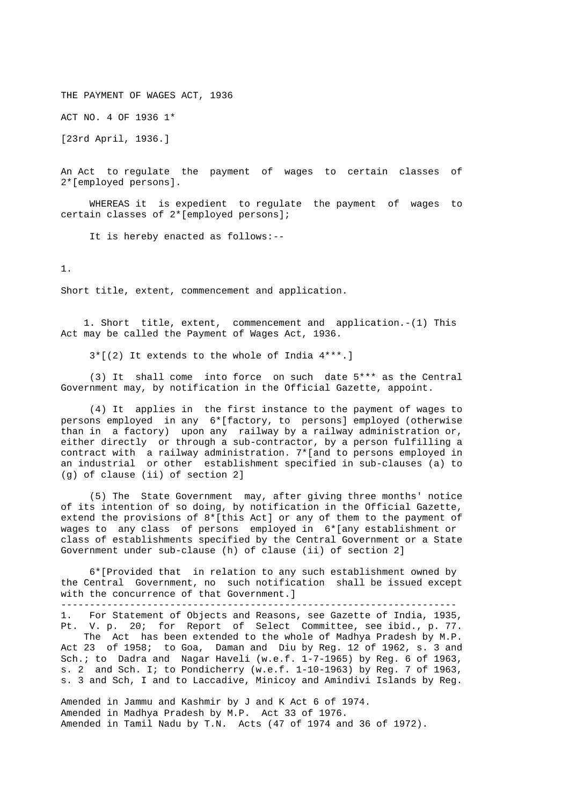THE PAYMENT OF WAGES ACT, 1936

ACT NO. 4 OF 1936 1\*

[23rd April, 1936.]

 An Act to regulate the payment of wages to certain classes of 2\*[employed persons].

 WHEREAS it is expedient to regulate the payment of wages to certain classes of 2\*[employed persons];

It is hereby enacted as follows:--

1.

Short title, extent, commencement and application.

 1. Short title, extent, commencement and application.-(1) This Act may be called the Payment of Wages Act, 1936.

3\*[(2) It extends to the whole of India 4\*\*\*.]

 (3) It shall come into force on such date 5\*\*\* as the Central Government may, by notification in the Official Gazette, appoint.

 (4) It applies in the first instance to the payment of wages to persons employed in any 6\*[factory, to persons] employed (otherwise than in a factory) upon any railway by a railway administration or, either directly or through a sub-contractor, by a person fulfilling a contract with a railway administration. 7\*[and to persons employed in an industrial or other establishment specified in sub-clauses (a) to (g) of clause (ii) of section 2]

 (5) The State Government may, after giving three months' notice of its intention of so doing, by notification in the Official Gazette, extend the provisions of  $8*[$ this Act] or any of them to the payment of wages to any class of persons employed in 6\*[any establishment or class of establishments specified by the Central Government or a State Government under sub-clause (h) of clause (ii) of section 2]

 6\*[Provided that in relation to any such establishment owned by the Central Government, no such notification shall be issued except with the concurrence of that Government.]

---------------------------------------------------------------------

 1. For Statement of Objects and Reasons, see Gazette of India, 1935, Pt. V. p. 20; for Report of Select Committee, see ibid., p. 77. The Act has been extended to the whole of Madhya Pradesh by M.P. Act 23 of 1958; to Goa, Daman and Diu by Reg. 12 of 1962, s. 3 and Sch.; to Dadra and Nagar Haveli (w.e.f.  $1-7-1965$ ) by Reg. 6 of 1963, s. 2 and Sch. I; to Pondicherry (w.e.f. 1-10-1963) by Reg. 7 of 1963, s. 3 and Sch, I and to Laccadive, Minicoy and Amindivi Islands by Reg.

 Amended in Jammu and Kashmir by J and K Act 6 of 1974. Amended in Madhya Pradesh by M.P. Act 33 of 1976. Amended in Tamil Nadu by T.N. Acts (47 of 1974 and 36 of 1972).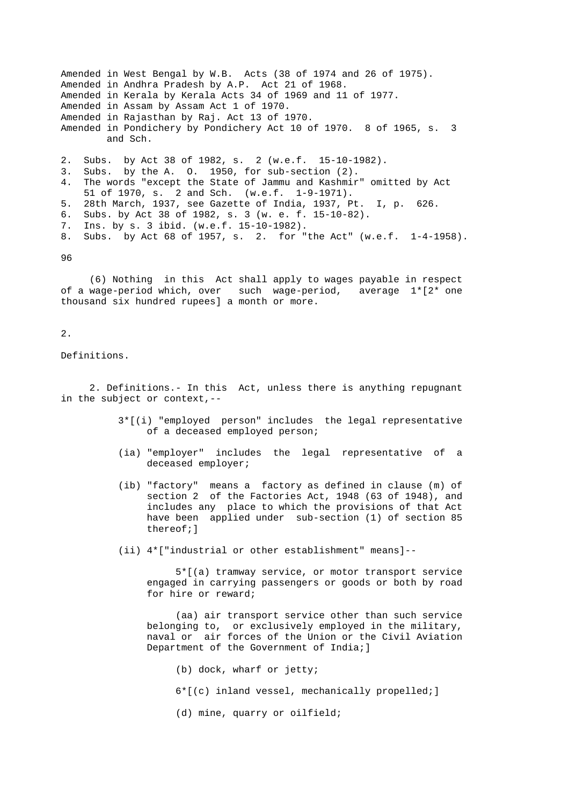Amended in West Bengal by W.B. Acts (38 of 1974 and 26 of 1975). Amended in Andhra Pradesh by A.P. Act 21 of 1968. Amended in Kerala by Kerala Acts 34 of 1969 and 11 of 1977. Amended in Assam by Assam Act 1 of 1970. Amended in Rajasthan by Raj. Act 13 of 1970. Amended in Pondichery by Pondichery Act 10 of 1970. 8 of 1965, s. 3 and Sch. 2. Subs. by Act 38 of 1982, s. 2 (w.e.f. 15-10-1982). 3. Subs. by the A. O. 1950, for sub-section (2). 4. The words "except the State of Jammu and Kashmir" omitted by Act 51 of 1970, s. 2 and Sch. (w.e.f. 1-9-1971). 5. 28th March, 1937, see Gazette of India, 1937, Pt. I, p. 626. 6. Subs. by Act 38 of 1982, s. 3 (w. e. f. 15-10-82). 7. Ins. by s. 3 ibid. (w.e.f. 15-10-1982).

8. Subs. by Act 68 of 1957, s. 2. for "the Act" (w.e.f. 1-4-1958).

96

 (6) Nothing in this Act shall apply to wages payable in respect of a wage-period which, over such wage-period, average 1\*[2\* one thousand six hundred rupees] a month or more.

# 2.

Definitions.

 2. Definitions.- In this Act, unless there is anything repugnant in the subject or context,--

- 3\*[(i) "employed person" includes the legal representative of a deceased employed person;
- (ia) "employer" includes the legal representative of a deceased employer;
- (ib) "factory" means a factory as defined in clause (m) of section 2 of the Factories Act, 1948 (63 of 1948), and includes any place to which the provisions of that Act have been applied under sub-section (1) of section 85 thereof;]
- (ii) 4\*["industrial or other establishment" means]--

 5\*[(a) tramway service, or motor transport service engaged in carrying passengers or goods or both by road for hire or reward;

 (aa) air transport service other than such service belonging to, or exclusively employed in the military, naval or air forces of the Union or the Civil Aviation Department of the Government of India; ]

- (b) dock, wharf or jetty;
- 6\*[(c) inland vessel, mechanically propelled;]
- (d) mine, quarry or oilfield;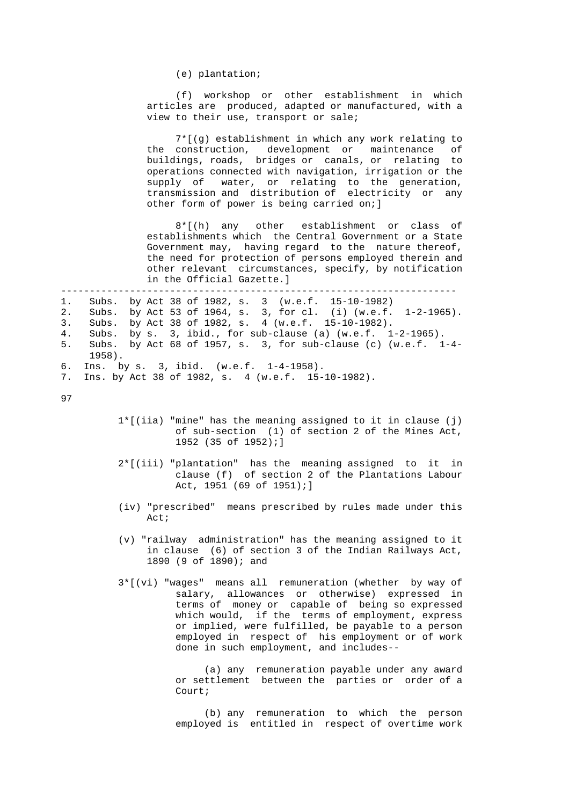(e) plantation;

 (f) workshop or other establishment in which articles are produced, adapted or manufactured, with a view to their use, transport or sale;

 7\*[(g) establishment in which any work relating to the construction, development or maintenance of buildings, roads, bridges or canals, or relating to operations connected with navigation, irrigation or the supply of water, or relating to the generation, transmission and distribution of electricity or any other form of power is being carried on;]

> 8\*[(h) any other establishment or class of establishments which the Central Government or a State Government may, having regard to the nature thereof, the need for protection of persons employed therein and other relevant circumstances, specify, by notification in the Official Gazette.]

---------------------------------------------------------------------

```
 1. Subs. by Act 38 of 1982, s. 3 (w.e.f. 15-10-1982) 
2. Subs. by Act 53 of 1964, s. 3, for cl. (i) (w.e.f. 1-2-1965). 
3. Subs. by Act 38 of 1982, s. 4 (w.e.f. 15-10-1982). 
4. Subs. by s. 3, ibid., for sub-clause (a) (w.e.f. 1-2-1965). 
5. Subs. by Act 68 of 1957, s. 3, for sub-clause (c) (w.e.f. 1-4- 
     1958). 
6. Ins. by s. 3, ibid. (w.e.f. 1-4-1958). 
7. Ins. by Act 38 of 1982, s. 4 (w.e.f. 15-10-1982).
```
97

- 1\*[(iia) "mine" has the meaning assigned to it in clause (j) of sub-section (1) of section 2 of the Mines Act, 1952 (35 of 1952);]
- 2\*[(iii) "plantation" has the meaning assigned to it in clause (f) of section 2 of the Plantations Labour Act, 1951 (69 of 1951);]
- (iv) "prescribed" means prescribed by rules made under this Act;
- (v) "railway administration" has the meaning assigned to it in clause (6) of section 3 of the Indian Railways Act, 1890 (9 of 1890); and
- 3\*[(vi) "wages" means all remuneration (whether by way of salary, allowances or otherwise) expressed in terms of money or capable of being so expressed which would, if the terms of employment, express or implied, were fulfilled, be payable to a person employed in respect of his employment or of work done in such employment, and includes--

 (a) any remuneration payable under any award or settlement between the parties or order of a Court;

> (b) any remuneration to which the person employed is entitled in respect of overtime work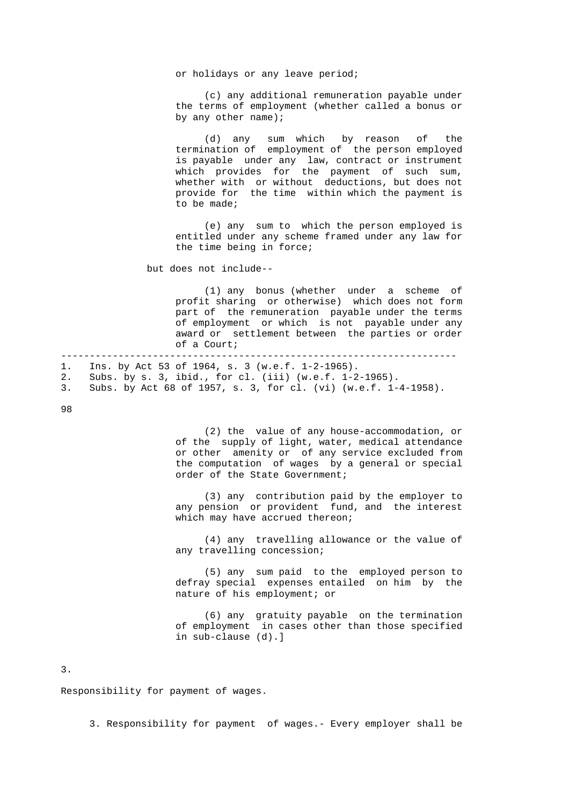or holidays or any leave period;

 (c) any additional remuneration payable under the terms of employment (whether called a bonus or by any other name);

 (d) any sum which by reason of the termination of employment of the person employed is payable under any law, contract or instrument which provides for the payment of such sum, whether with or without deductions, but does not provide for the time within which the payment is to be made;

> (e) any sum to which the person employed is entitled under any scheme framed under any law for the time being in force;

but does not include--

 (1) any bonus (whether under a scheme of profit sharing or otherwise) which does not form part of the remuneration payable under the terms of employment or which is not payable under any award or settlement between the parties or order of a Court;

 --------------------------------------------------------------------- 1. Ins. by Act 53 of 1964, s. 3 (w.e.f. 1-2-1965). 2. Subs. by s. 3, ibid., for cl. (iii) (w.e.f. 1-2-1965). 3. Subs. by Act 68 of 1957, s. 3, for cl. (vi) (w.e.f. 1-4-1958).

98

 (2) the value of any house-accommodation, or of the supply of light, water, medical attendance or other amenity or of any service excluded from the computation of wages by a general or special order of the State Government;

 (3) any contribution paid by the employer to any pension or provident fund, and the interest which may have accrued thereon;

 (4) any travelling allowance or the value of any travelling concession;

 (5) any sum paid to the employed person to defray special expenses entailed on him by the nature of his employment; or

 (6) any gratuity payable on the termination of employment in cases other than those specified in sub-clause (d).]

3.

Responsibility for payment of wages.

3. Responsibility for payment of wages.- Every employer shall be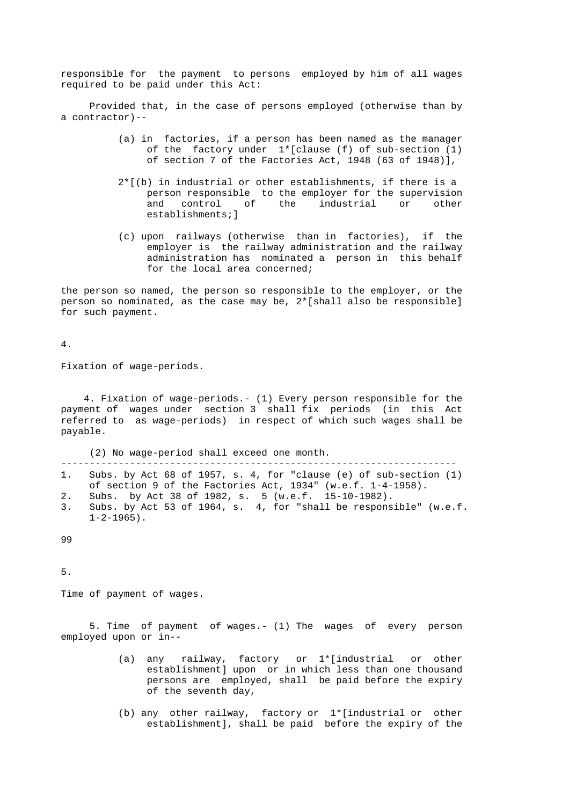responsible for the payment to persons employed by him of all wages required to be paid under this Act:

 Provided that, in the case of persons employed (otherwise than by a contractor)--

- (a) in factories, if a person has been named as the manager of the factory under  $1*[$ clause (f) of sub-section (1) of section 7 of the Factories Act, 1948 (63 of 1948)],
- 2\*[(b) in industrial or other establishments, if there is a person responsible to the employer for the supervision and control of the industrial or other establishments;]
- (c) upon railways (otherwise than in factories), if the employer is the railway administration and the railway administration has nominated a person in this behalf for the local area concerned;

 the person so named, the person so responsible to the employer, or the person so nominated, as the case may be, 2\*[shall also be responsible] for such payment.

4.

Fixation of wage-periods.

 4. Fixation of wage-periods.- (1) Every person responsible for the payment of wages under section 3 shall fix periods (in this Act referred to as wage-periods) in respect of which such wages shall be payable.

(2) No wage-period shall exceed one month.

 --------------------------------------------------------------------- 1. Subs. by Act 68 of 1957, s. 4, for "clause (e) of sub-section (1) of section 9 of the Factories Act, 1934" (w.e.f. 1-4-1958).

- 2. Subs. by Act 38 of 1982, s. 5 (w.e.f. 15-10-1982).
- 3. Subs. by Act 53 of 1964, s. 4, for "shall be responsible" (w.e.f.  $1-2-1965$ ).

99

5.

Time of payment of wages.

 5. Time of payment of wages.- (1) The wages of every person employed upon or in--

- (a) any railway, factory or 1\*[industrial or other establishment] upon or in which less than one thousand persons are employed, shall be paid before the expiry of the seventh day,
- (b) any other railway, factory or 1\*[industrial or other establishment], shall be paid before the expiry of the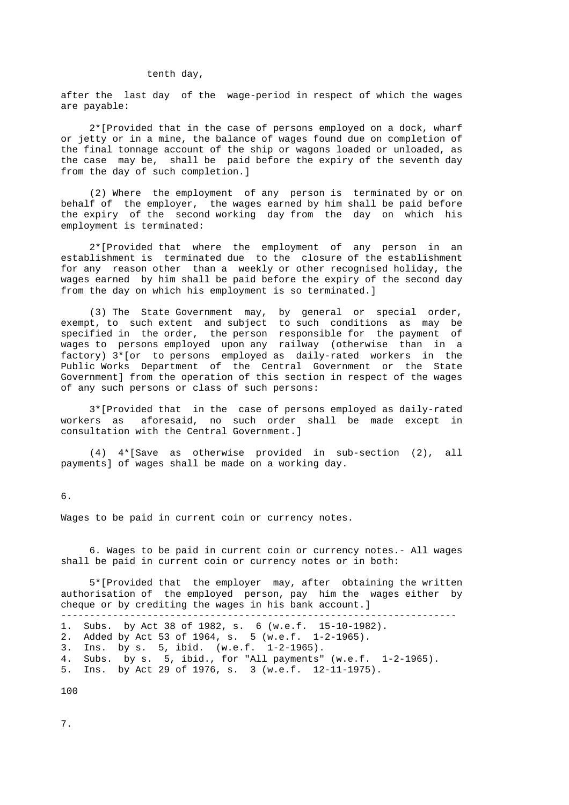#### tenth day,

 after the last day of the wage-period in respect of which the wages are payable:

 2\*[Provided that in the case of persons employed on a dock, wharf or jetty or in a mine, the balance of wages found due on completion of the final tonnage account of the ship or wagons loaded or unloaded, as the case may be, shall be paid before the expiry of the seventh day from the day of such completion.]

 (2) Where the employment of any person is terminated by or on behalf of the employer, the wages earned by him shall be paid before the expiry of the second working day from the day on which his employment is terminated:

 2\*[Provided that where the employment of any person in an establishment is terminated due to the closure of the establishment for any reason other than a weekly or other recognised holiday, the wages earned by him shall be paid before the expiry of the second day from the day on which his employment is so terminated.]

 (3) The State Government may, by general or special order, exempt, to such extent and subject to such conditions as may be specified in the order, the person responsible for the payment of wages to persons employed upon any railway (otherwise than in a factory) 3\*[or to persons employed as daily-rated workers in the Public Works Department of the Central Government or the State Government] from the operation of this section in respect of the wages of any such persons or class of such persons:

 3\*[Provided that in the case of persons employed as daily-rated workers as aforesaid, no such order shall be made except in consultation with the Central Government.]

 (4) 4\*[Save as otherwise provided in sub-section (2), all payments] of wages shall be made on a working day.

6.

Wages to be paid in current coin or currency notes.

 6. Wages to be paid in current coin or currency notes.- All wages shall be paid in current coin or currency notes or in both:

 5\*[Provided that the employer may, after obtaining the written authorisation of the employed person, pay him the wages either by cheque or by crediting the wages in his bank account.]

|  |  | 1. Subs. by Act 38 of 1982, s. 6 (w.e.f. 15-10-1982). |  |
|--|--|-------------------------------------------------------|--|
|  |  | 2. Added by Act 53 of 1964, s. 5 (w.e.f. 1-2-1965).   |  |
|  |  | 3. Ins. by s. 5, ibid. (w.e.f. $1-2-1965$ ).          |  |
|  |  |                                                       |  |

 4. Subs. by s. 5, ibid., for "All payments" (w.e.f. 1-2-1965). 5. Ins. by Act 29 of 1976, s. 3 (w.e.f. 12-11-1975).

100

7.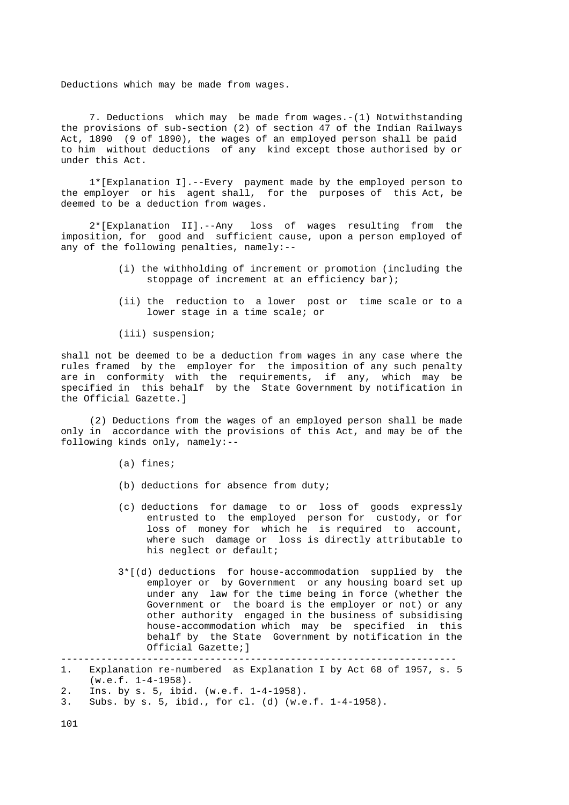Deductions which may be made from wages.

 7. Deductions which may be made from wages.-(1) Notwithstanding the provisions of sub-section (2) of section 47 of the Indian Railways Act, 1890 (9 of 1890), the wages of an employed person shall be paid to him without deductions of any kind except those authorised by or under this Act.

 1\*[Explanation I].--Every payment made by the employed person to the employer or his agent shall, for the purposes of this Act, be deemed to be a deduction from wages.

 2\*[Explanation II].--Any loss of wages resulting from the imposition, for good and sufficient cause, upon a person employed of any of the following penalties, namely:--

- (i) the withholding of increment or promotion (including the stoppage of increment at an efficiency bar);
- (ii) the reduction to a lower post or time scale or to a lower stage in a time scale; or
- (iii) suspension;

 shall not be deemed to be a deduction from wages in any case where the rules framed by the employer for the imposition of any such penalty are in conformity with the requirements, if any, which may be specified in this behalf by the State Government by notification in the Official Gazette.]

 (2) Deductions from the wages of an employed person shall be made only in accordance with the provisions of this Act, and may be of the following kinds only, namely:--

- (a) fines;
- (b) deductions for absence from duty;
- (c) deductions for damage to or loss of goods expressly entrusted to the employed person for custody, or for loss of money for which he is required to account, where such damage or loss is directly attributable to his neglect or default;
- 3\*[(d) deductions for house-accommodation supplied by the employer or by Government or any housing board set up under any law for the time being in force (whether the Government or the board is the employer or not) or any other authority engaged in the business of subsidising house-accommodation which may be specified in this behalf by the State Government by notification in the Official Gazette;]

 $-$ 

 <sup>1.</sup> Explanation re-numbered as Explanation I by Act 68 of 1957, s. 5  $(w.e.f. 1-4-1958)$ .

 <sup>2.</sup> Ins. by s. 5, ibid. (w.e.f. 1-4-1958).

 <sup>3.</sup> Subs. by s. 5, ibid., for cl. (d) (w.e.f. 1-4-1958).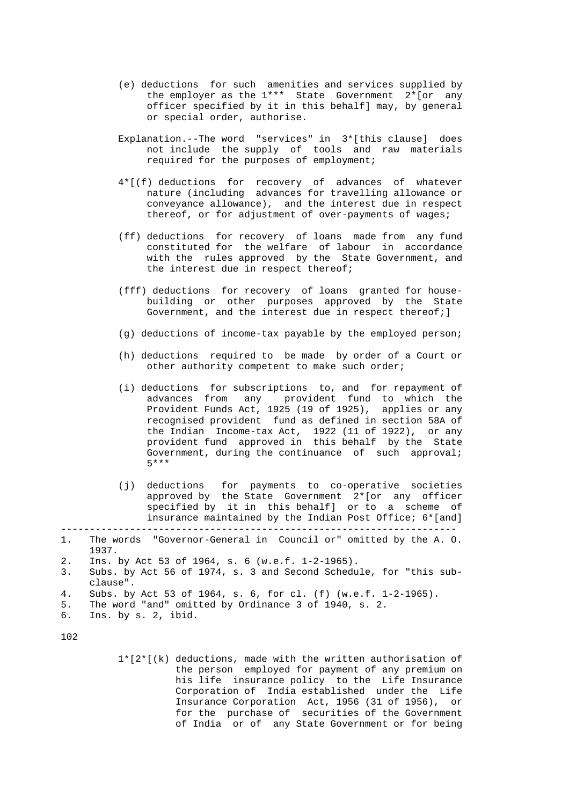- (e) deductions for such amenities and services supplied by the employer as the 1\*\*\* State Government 2\*[or any officer specified by it in this behalf] may, by general or special order, authorise.
- Explanation.--The word "services" in 3\*[this clause] does not include the supply of tools and raw materials required for the purposes of employment;
	- 4\*[(f) deductions for recovery of advances of whatever nature (including advances for travelling allowance or conveyance allowance), and the interest due in respect thereof, or for adjustment of over-payments of wages;
	- (ff) deductions for recovery of loans made from any fund constituted for the welfare of labour in accordance with the rules approved by the State Government, and the interest due in respect thereof;
	- (fff) deductions for recovery of loans granted for house building or other purposes approved by the State Government, and the interest due in respect thereof; ]
	- (g) deductions of income-tax payable by the employed person;
	- (h) deductions required to be made by order of a Court or other authority competent to make such order;
	- (i) deductions for subscriptions to, and for repayment of advances from any provident fund to which the Provident Funds Act, 1925 (19 of 1925), applies or any recognised provident fund as defined in section 58A of the Indian Income-tax Act, 1922 (11 of 1922), or any provident fund approved in this behalf by the State Government, during the continuance of such approval; 5\*\*\*
	- (j) deductions for payments to co-operative societies approved by the State Government 2\*[or any officer specified by it in this behalf] or to a scheme of insurance maintained by the Indian Post Office; 6\*[and]

- 5. The word "and" omitted by Ordinance 3 of 1940, s. 2.
- 6. Ins. by s. 2, ibid.

102

 1\*[2\*[(k) deductions, made with the written authorisation of the person employed for payment of any premium on his life insurance policy to the Life Insurance Corporation of India established under the Life Insurance Corporation Act, 1956 (31 of 1956), or for the purchase of securities of the Government of India or of any State Government or for being

 <sup>---------------------------------------------------------------------</sup>  1. The words "Governor-General in Council or" omitted by the A. O. 1937.

 <sup>2.</sup> Ins. by Act 53 of 1964, s. 6 (w.e.f. 1-2-1965).

 <sup>3.</sup> Subs. by Act 56 of 1974, s. 3 and Second Schedule, for "this sub clause".

 <sup>4.</sup> Subs. by Act 53 of 1964, s. 6, for cl. (f) (w.e.f. 1-2-1965).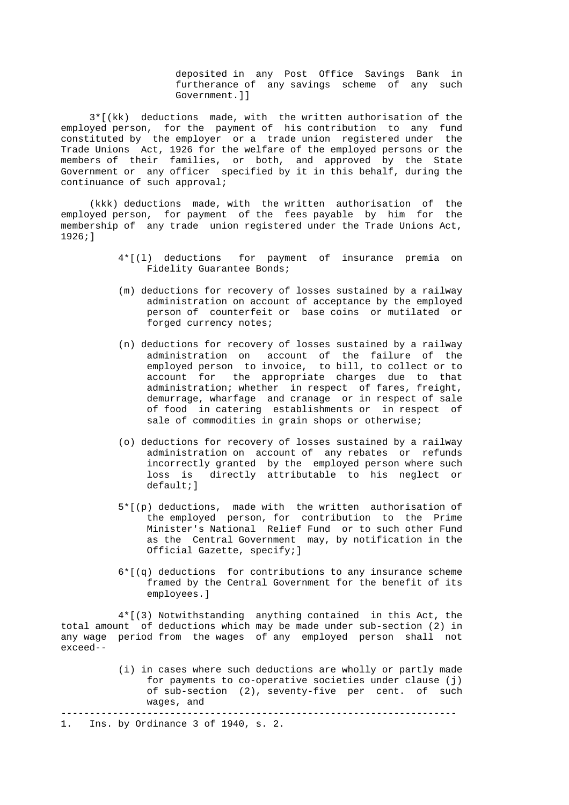deposited in any Post Office Savings Bank in furtherance of any savings scheme of any such Government.]]

 3\*[(kk) deductions made, with the written authorisation of the employed person, for the payment of his contribution to any fund constituted by the employer or a trade union registered under the Trade Unions Act, 1926 for the welfare of the employed persons or the members of their families, or both, and approved by the State Government or any officer specified by it in this behalf, during the continuance of such approval;

 (kkk) deductions made, with the written authorisation of the employed person, for payment of the fees payable by him for the membership of any trade union registered under the Trade Unions Act, 1926;]

- 4\*[(l) deductions for payment of insurance premia on Fidelity Guarantee Bonds;
- (m) deductions for recovery of losses sustained by a railway administration on account of acceptance by the employed person of counterfeit or base coins or mutilated or forged currency notes;
- (n) deductions for recovery of losses sustained by a railway administration on account of the failure of the employed person to invoice, to bill, to collect or to account for the appropriate charges due to that administration; whether in respect of fares, freight, demurrage, wharfage and cranage or in respect of sale of food in catering establishments or in respect of sale of commodities in grain shops or otherwise;
- (o) deductions for recovery of losses sustained by a railway administration on account of any rebates or refunds incorrectly granted by the employed person where such loss is directly attributable to his neglect or default;]
- 5\*[(p) deductions, made with the written authorisation of the employed person, for contribution to the Prime Minister's National Relief Fund or to such other Fund as the Central Government may, by notification in the Official Gazette, specify;]
- 6\*[(q) deductions for contributions to any insurance scheme framed by the Central Government for the benefit of its employees.]

 4\*[(3) Notwithstanding anything contained in this Act, the total amount of deductions which may be made under sub-section (2) in any wage period from the wages of any employed person shall not exceed--

> (i) in cases where such deductions are wholly or partly made for payments to co-operative societies under clause (j) of sub-section (2), seventy-five per cent. of such wages, and

---------------------------------------------------------------------

1. Ins. by Ordinance 3 of 1940, s. 2.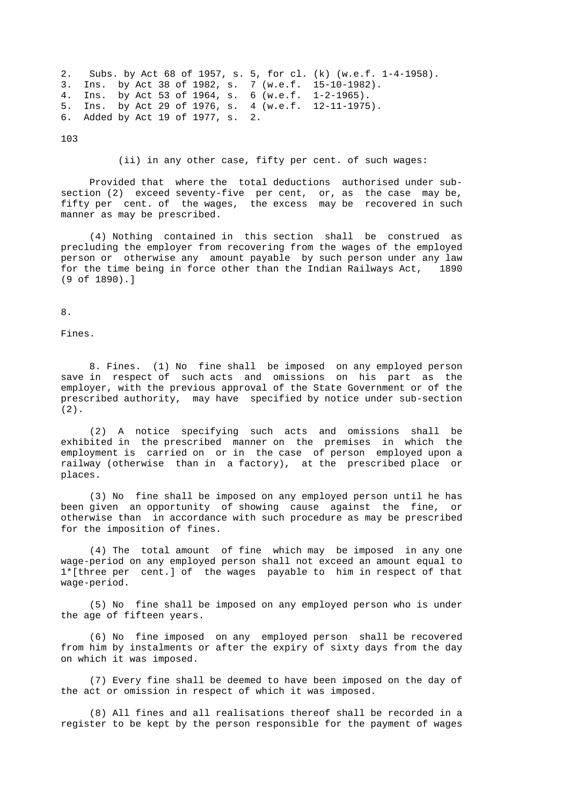```
 2. Subs. by Act 68 of 1957, s. 5, for cl. (k) (w.e.f. 1-4-1958). 
3. Ins. by Act 38 of 1982, s. 7 (w.e.f. 15-10-1982). 
4. Ins. by Act 53 of 1964, s. 6 (w.e.f. 1-2-1965). 
5. Ins. by Act 29 of 1976, s. 4 (w.e.f. 12-11-1975). 
6. Added by Act 19 of 1977, s. 2.
```
103

#### (ii) in any other case, fifty per cent. of such wages:

 Provided that where the total deductions authorised under sub section (2) exceed seventy-five per cent, or, as the case may be, fifty per cent. of the wages, the excess may be recovered in such manner as may be prescribed.

 (4) Nothing contained in this section shall be construed as precluding the employer from recovering from the wages of the employed person or otherwise any amount payable by such person under any law for the time being in force other than the Indian Railways Act, (9 of 1890).]

## 8.

Fines.

 8. Fines. (1) No fine shall be imposed on any employed person save in respect of such acts and omissions on his part as the employer, with the previous approval of the State Government or of the prescribed authority, may have specified by notice under sub-section (2).

 (2) A notice specifying such acts and omissions shall be exhibited in the prescribed manner on the premises in which the employment is carried on or in the case of person employed upon a railway (otherwise than in a factory), at the prescribed place or places.

 (3) No fine shall be imposed on any employed person until he has been given an opportunity of showing cause against the fine, or otherwise than in accordance with such procedure as may be prescribed for the imposition of fines.

 (4) The total amount of fine which may be imposed in any one wage-period on any employed person shall not exceed an amount equal to 1\*[three per cent.] of the wages payable to him in respect of that wage-period.

 (5) No fine shall be imposed on any employed person who is under the age of fifteen years.

 (6) No fine imposed on any employed person shall be recovered from him by instalments or after the expiry of sixty days from the day on which it was imposed.

 (7) Every fine shall be deemed to have been imposed on the day of the act or omission in respect of which it was imposed.

 (8) All fines and all realisations thereof shall be recorded in a register to be kept by the person responsible for the payment of wages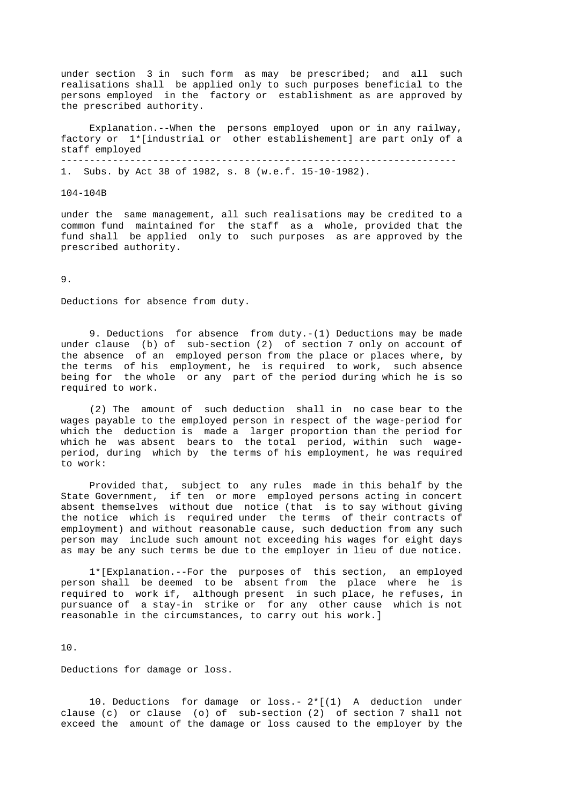under section 3 in such form as may be prescribed; and all such realisations shall be applied only to such purposes beneficial to the persons employed in the factory or establishment as are approved by the prescribed authority.

 Explanation.--When the persons employed upon or in any railway, factory or 1\*[industrial or other establishement] are part only of a staff employed --------------------------------------------------------------------- 1. Subs. by Act 38 of 1982, s. 8 (w.e.f. 15-10-1982).

104-104B

 under the same management, all such realisations may be credited to a common fund maintained for the staff as a whole, provided that the fund shall be applied only to such purposes as are approved by the prescribed authority.

9.

Deductions for absence from duty.

 9. Deductions for absence from duty.-(1) Deductions may be made under clause (b) of sub-section (2) of section 7 only on account of the absence of an employed person from the place or places where, by the terms of his employment, he is required to work, such absence being for the whole or any part of the period during which he is so required to work.

 (2) The amount of such deduction shall in no case bear to the wages payable to the employed person in respect of the wage-period for which the deduction is made a larger proportion than the period for which he was absent bears to the total period, within such wage period, during which by the terms of his employment, he was required to work:

 Provided that, subject to any rules made in this behalf by the State Government, if ten or more employed persons acting in concert absent themselves without due notice (that is to say without giving the notice which is required under the terms of their contracts of employment) and without reasonable cause, such deduction from any such person may include such amount not exceeding his wages for eight days as may be any such terms be due to the employer in lieu of due notice.

 1\*[Explanation.--For the purposes of this section, an employed person shall be deemed to be absent from the place where he is required to work if, although present in such place, he refuses, in pursuance of a stay-in strike or for any other cause which is not reasonable in the circumstances, to carry out his work.]

10.

Deductions for damage or loss.

 10. Deductions for damage or loss.- 2\*[(1) A deduction under clause (c) or clause (o) of sub-section (2) of section 7 shall not exceed the amount of the damage or loss caused to the employer by the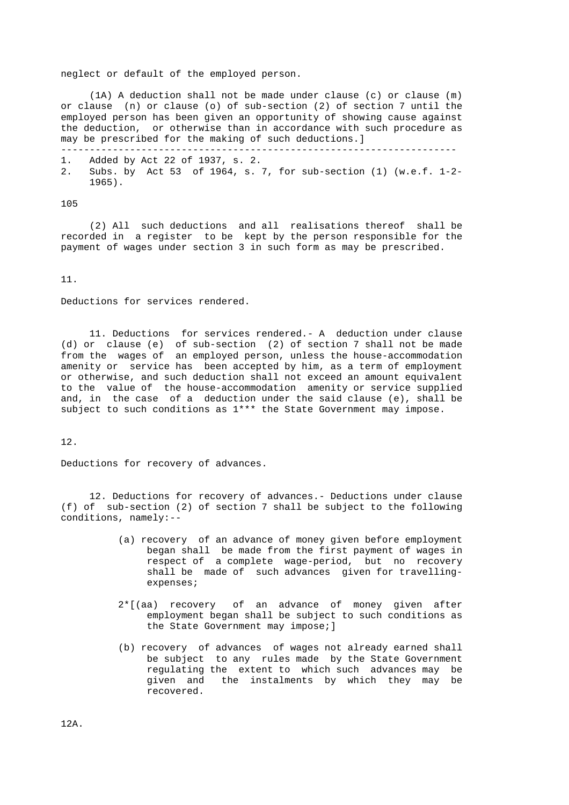neglect or default of the employed person.

 (1A) A deduction shall not be made under clause (c) or clause (m) or clause (n) or clause (o) of sub-section (2) of section 7 until the employed person has been given an opportunity of showing cause against the deduction, or otherwise than in accordance with such procedure as may be prescribed for the making of such deductions.]

- 1. Added by Act 22 of 1937, s. 2.
- 2. Subs. by Act 53 of 1964, s. 7, for sub-section (1) (w.e.f. 1-2- 1965).

---------------------------------------------------------------------

105

 (2) All such deductions and all realisations thereof shall be recorded in a register to be kept by the person responsible for the payment of wages under section 3 in such form as may be prescribed.

11.

Deductions for services rendered.

 11. Deductions for services rendered.- A deduction under clause (d) or clause (e) of sub-section (2) of section 7 shall not be made from the wages of an employed person, unless the house-accommodation amenity or service has been accepted by him, as a term of employment or otherwise, and such deduction shall not exceed an amount equivalent to the value of the house-accommodation amenity or service supplied and, in the case of a deduction under the said clause (e), shall be subject to such conditions as 1\*\*\* the State Government may impose.

12.

Deductions for recovery of advances.

 12. Deductions for recovery of advances.- Deductions under clause (f) of sub-section (2) of section 7 shall be subject to the following conditions, namely:--

- (a) recovery of an advance of money given before employment began shall be made from the first payment of wages in respect of a complete wage-period, but no recovery shall be made of such advances given for travelling expenses;
- 2\*[(aa) recovery of an advance of money given after employment began shall be subject to such conditions as the State Government may impose;]
- (b) recovery of advances of wages not already earned shall be subject to any rules made by the State Government regulating the extent to which such advances may be given and the instalments by which they may be recovered.

12A.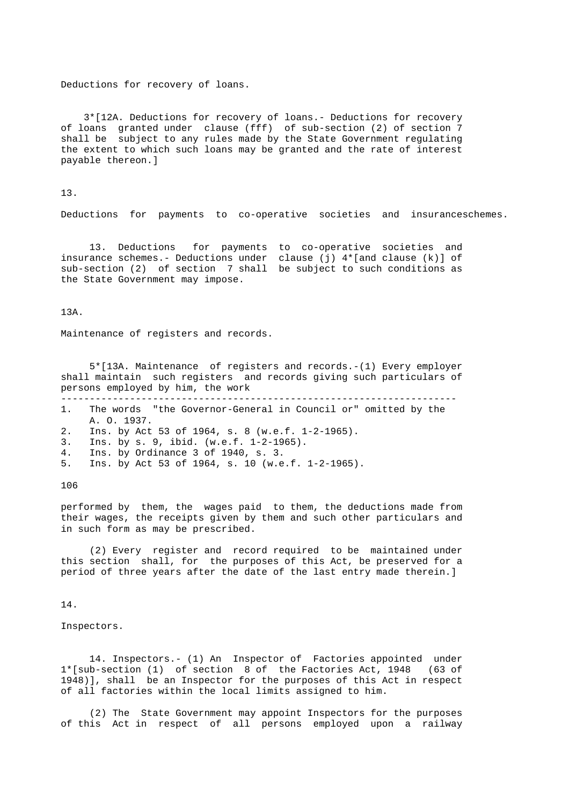Deductions for recovery of loans.

 3\*[12A. Deductions for recovery of loans.- Deductions for recovery of loans granted under clause (fff) of sub-section (2) of section 7 shall be subject to any rules made by the State Government regulating the extent to which such loans may be granted and the rate of interest payable thereon.]

13.

Deductions for payments to co-operative societies and insuranceschemes.

 13. Deductions for payments to co-operative societies and insurance schemes.- Deductions under clause (j) 4\*[and clause (k)] of sub-section (2) of section 7 shall be subject to such conditions as the State Government may impose.

13A.

Maintenance of registers and records.

 5\*[13A. Maintenance of registers and records.-(1) Every employer shall maintain such registers and records giving such particulars of persons employed by him, the work ---------------------------------------------------------------------

 1. The words "the Governor-General in Council or" omitted by the A. O. 1937. 2. Ins. by Act 53 of 1964, s. 8 (w.e.f. 1-2-1965). 3. Ins. by s. 9, ibid. (w.e.f. 1-2-1965). 4. Ins. by Ordinance 3 of 1940, s. 3. 5. Ins. by Act 53 of 1964, s. 10 (w.e.f. 1-2-1965).

106

 performed by them, the wages paid to them, the deductions made from their wages, the receipts given by them and such other particulars and in such form as may be prescribed.

 (2) Every register and record required to be maintained under this section shall, for the purposes of this Act, be preserved for a period of three years after the date of the last entry made therein.]

14.

Inspectors.

 14. Inspectors.- (1) An Inspector of Factories appointed under 1\*[sub-section (1) of section 8 of the Factories Act, 1948 (63 of 1948)], shall be an Inspector for the purposes of this Act in respect of all factories within the local limits assigned to him.

 (2) The State Government may appoint Inspectors for the purposes of this Act in respect of all persons employed upon a railway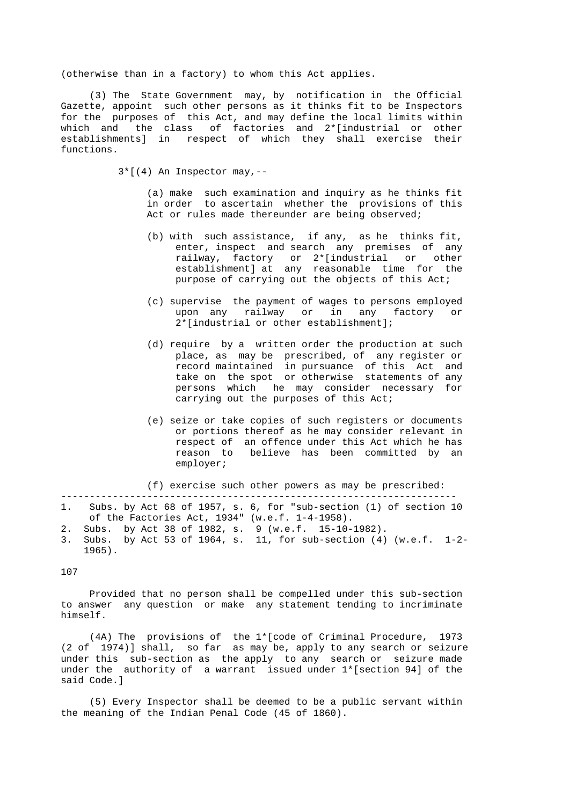(otherwise than in a factory) to whom this Act applies.

 (3) The State Government may, by notification in the Official Gazette, appoint such other persons as it thinks fit to be Inspectors for the purposes of this Act, and may define the local limits within which and the class of factories and 2\*[industrial or other establishments] in respect of which they shall exercise their functions.

 $3*[4]$  An Inspector may, --

 (a) make such examination and inquiry as he thinks fit in order to ascertain whether the provisions of this Act or rules made thereunder are being observed;

- (b) with such assistance, if any, as he thinks fit, enter, inspect and search any premises of any railway, factory or 2\*[industrial or other establishment] at any reasonable time for the purpose of carrying out the objects of this Act;
	- (c) supervise the payment of wages to persons employed upon any railway or in any factory or 2\*[industrial or other establishment];
	- (d) require by a written order the production at such place, as may be prescribed, of any register or record maintained in pursuance of this Act and take on the spot or otherwise statements of any persons which he may consider necessary for carrying out the purposes of this Act;
	- (e) seize or take copies of such registers or documents or portions thereof as he may consider relevant in respect of an offence under this Act which he has reason to believe has been committed by an employer;

(f) exercise such other powers as may be prescribed:

- --------------------------------------------------------------------- 1. Subs. by Act 68 of 1957, s. 6, for "sub-section (1) of section 10 of the Factories Act, 1934" (w.e.f. 1-4-1958).
- 2. Subs. by Act 38 of 1982, s. 9 (w.e.f. 15-10-1982).
- 3. Subs. by Act 53 of 1964, s. 11, for sub-section (4) (w.e.f. 1-2- 1965).

107

 Provided that no person shall be compelled under this sub-section to answer any question or make any statement tending to incriminate himself.

 (4A) The provisions of the 1\*[code of Criminal Procedure, 1973 (2 of 1974)] shall, so far as may be, apply to any search or seizure under this sub-section as the apply to any search or seizure made under the authority of a warrant issued under 1\*[section 94] of the said Code.]

 (5) Every Inspector shall be deemed to be a public servant within the meaning of the Indian Penal Code (45 of 1860).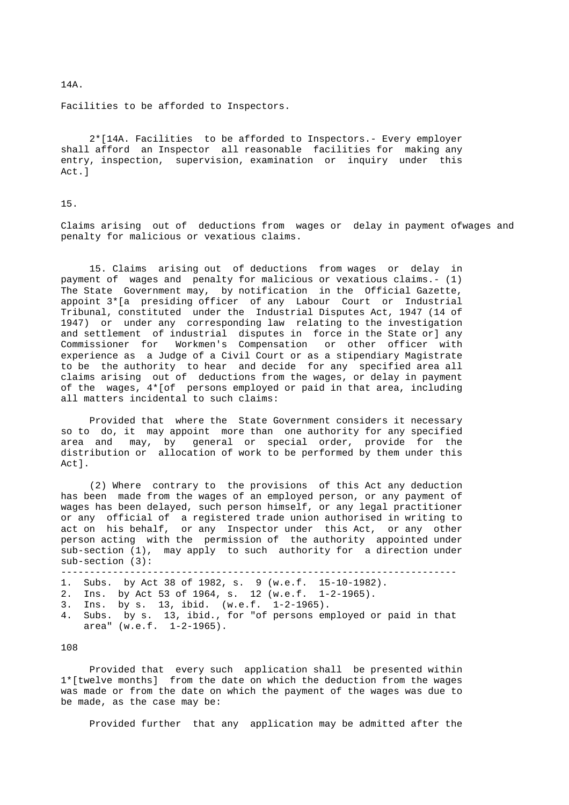14A.

Facilities to be afforded to Inspectors.

 2\*[14A. Facilities to be afforded to Inspectors.- Every employer shall afford an Inspector all reasonable facilities for making any entry, inspection, supervision, examination or inquiry under this Act.]

# 15.

 Claims arising out of deductions from wages or delay in payment ofwages and penalty for malicious or vexatious claims.

 15. Claims arising out of deductions from wages or delay in payment of wages and penalty for malicious or vexatious claims.- (1) The State Government may, by notification in the Official Gazette, appoint 3\*[a presiding officer of any Labour Court or Industrial Tribunal, constituted under the Industrial Disputes Act, 1947 (14 of 1947) or under any corresponding law relating to the investigation and settlement of industrial disputes in force in the State or] any Commissioner for Workmen's Compensation or other officer with experience as a Judge of a Civil Court or as a stipendiary Magistrate to be the authority to hear and decide for any specified area all claims arising out of deductions from the wages, or delay in payment of the wages, 4\*[of persons employed or paid in that area, including all matters incidental to such claims:

 Provided that where the State Government considers it necessary so to do, it may appoint more than one authority for any specified area and may, by general or special order, provide for the distribution or allocation of work to be performed by them under this Act].

 (2) Where contrary to the provisions of this Act any deduction has been made from the wages of an employed person, or any payment of wages has been delayed, such person himself, or any legal practitioner or any official of a registered trade union authorised in writing to act on his behalf, or any Inspector under this Act, or any other person acting with the permission of the authority appointed under sub-section (1), may apply to such authority for a direction under sub-section (3):

```
 --------------------------------------------------------------------- 
1. Subs. by Act 38 of 1982, s. 9 (w.e.f. 15-10-1982). 
2. Ins. by Act 53 of 1964, s. 12 (w.e.f. 1-2-1965). 
3. Ins. by s. 13, ibid. (w.e.f. 1-2-1965). 
4. Subs. by s. 13, ibid., for "of persons employed or paid in that 
area" (w.e.f. 1-2-1965).
```
### 108

 Provided that every such application shall be presented within 1\*[twelve months] from the date on which the deduction from the wages was made or from the date on which the payment of the wages was due to be made, as the case may be:

Provided further that any application may be admitted after the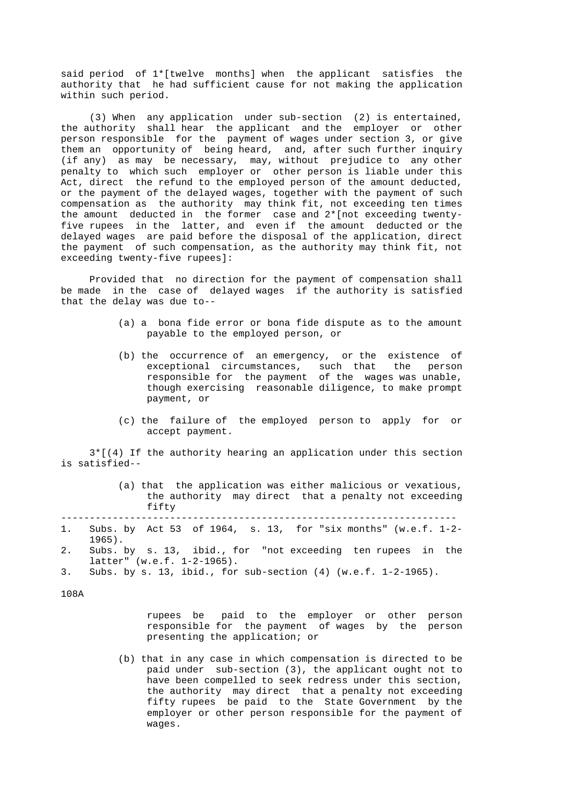said period of 1\*[twelve months] when the applicant satisfies the authority that he had sufficient cause for not making the application within such period.

 (3) When any application under sub-section (2) is entertained, the authority shall hear the applicant and the employer or other person responsible for the payment of wages under section 3, or give -<br>them an opportunity of being heard, and, after such further inquiry (if any) as may be necessary, may, without prejudice to any other penalty to which such employer or other person is liable under this Act, direct the refund to the employed person of the amount deducted, or the payment of the delayed wages, together with the payment of such compensation as the authority may think fit, not exceeding ten times the amount deducted in the former case and 2\*[not exceeding twenty five rupees in the latter, and even if the amount deducted or the delayed wages are paid before the disposal of the application, direct the payment of such compensation, as the authority may think fit, not exceeding twenty-five rupees]:

 Provided that no direction for the payment of compensation shall be made in the case of delayed wages if the authority is satisfied that the delay was due to--

- (a) a bona fide error or bona fide dispute as to the amount payable to the employed person, or
- (b) the occurrence of an emergency, or the existence of exceptional circumstances, such that the person responsible for the payment of the wages was unable, though exercising reasonable diligence, to make prompt payment, or
- (c) the failure of the employed person to apply for or accept payment.

 3\*[(4) If the authority hearing an application under this section is satisfied--

|       |  |  | (a) that the application was either malicious or vexatious, |  |
|-------|--|--|-------------------------------------------------------------|--|
|       |  |  | the authority may direct that a penalty not exceeding       |  |
| fifty |  |  |                                                             |  |
|       |  |  |                                                             |  |

- 1. Subs. by Act 53 of 1964, s. 13, for "six months" (w.e.f. 1-2- 1965).
- 2. Subs. by s. 13, ibid., for "not exceeding ten rupees in the latter" (w.e.f. 1-2-1965).

108A

 rupees be paid to the employer or other person responsible for the payment of wages by the person presenting the application; or

 (b) that in any case in which compensation is directed to be paid under sub-section (3), the applicant ought not to have been compelled to seek redress under this section, the authority may direct that a penalty not exceeding fifty rupees be paid to the State Government by the employer or other person responsible for the payment of wages.

 <sup>3.</sup> Subs. by s. 13, ibid., for sub-section (4) (w.e.f. 1-2-1965).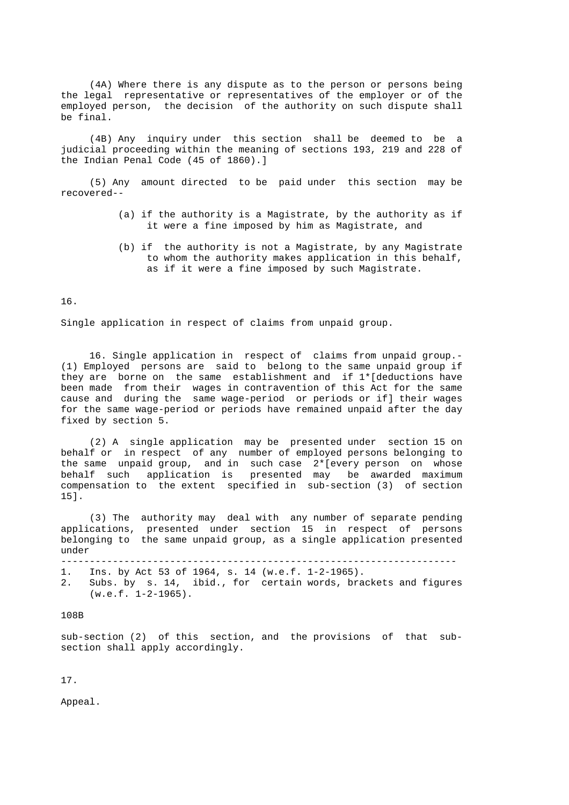(4A) Where there is any dispute as to the person or persons being the legal representative or representatives of the employer or of the employed person, the decision of the authority on such dispute shall be final.

 (4B) Any inquiry under this section shall be deemed to be a judicial proceeding within the meaning of sections 193, 219 and 228 of the Indian Penal Code (45 of 1860).]

 (5) Any amount directed to be paid under this section may be recovered--

- (a) if the authority is a Magistrate, by the authority as if it were a fine imposed by him as Magistrate, and
- (b) if the authority is not a Magistrate, by any Magistrate to whom the authority makes application in this behalf, as if it were a fine imposed by such Magistrate.

16.

Single application in respect of claims from unpaid group.

 16. Single application in respect of claims from unpaid group.- (1) Employed persons are said to belong to the same unpaid group if they are borne on the same establishment and if 1\*[deductions have been made from their wages in contravention of this Act for the same cause and during the same wage-period or periods or if] their wages for the same wage-period or periods have remained unpaid after the day fixed by section 5.

 (2) A single application may be presented under section 15 on behalf or in respect of any number of employed persons belonging to the same unpaid group, and in such case 2\*[every person on whose behalf such application is presented may be awarded maximum compensation to the extent specified in sub-section (3) of section 15].

 (3) The authority may deal with any number of separate pending applications, presented under section 15 in respect of persons belonging to the same unpaid group, as a single application presented under

---------------------------------------------------------------------

1. Ins. by Act 53 of 1964, s. 14 (w.e.f. 1-2-1965).

 2. Subs. by s. 14, ibid., for certain words, brackets and figures (w.e.f. 1-2-1965).

108B

 sub-section (2) of this section, and the provisions of that sub section shall apply accordingly.

17.

Appeal.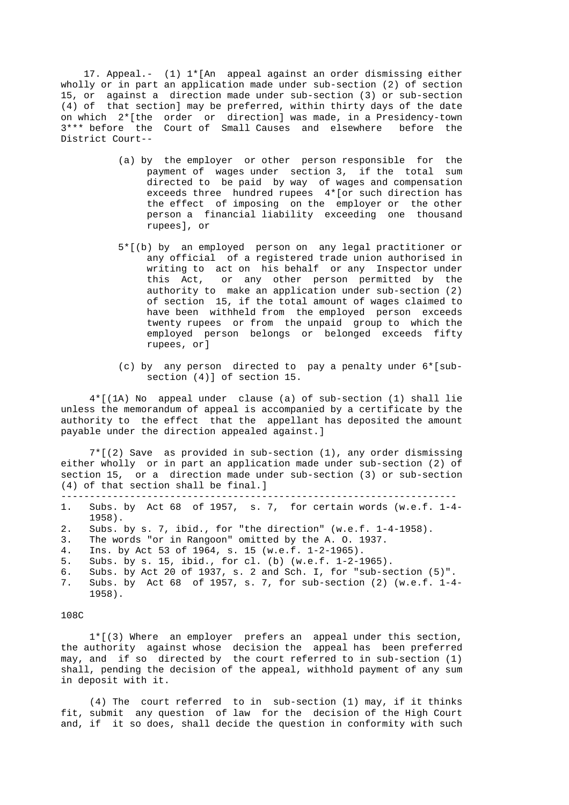17. Appeal.- (1) 1\*[An appeal against an order dismissing either wholly or in part an application made under sub-section (2) of section 15, or against a direction made under sub-section (3) or sub-section (4) of that section] may be preferred, within thirty days of the date on which 2\*[the order or direction] was made, in a Presidency-town 3\*\*\* before the Court of Small Causes and elsewhere before the District Court--

- (a) by the employer or other person responsible for the payment of wages under section 3, if the total sum directed to be paid by way of wages and compensation exceeds three hundred rupees 4\*[or such direction has the effect of imposing on the employer or the other person a financial liability exceeding one thousand rupees], or
- 5\*[(b) by an employed person on any legal practitioner or any official of a registered trade union authorised in writing to act on his behalf or any Inspector under this Act, or any other person permitted by the authority to make an application under sub-section (2) of section 15, if the total amount of wages claimed to have been withheld from the employed person exceeds twenty rupees or from the unpaid group to which the employed person belongs or belonged exceeds fifty rupees, or]
- (c) by any person directed to pay a penalty under 6\*[sub section (4)] of section 15.

 4\*[(1A) No appeal under clause (a) of sub-section (1) shall lie unless the memorandum of appeal is accompanied by a certificate by the authority to the effect that the appellant has deposited the amount payable under the direction appealed against.]

 7\*[(2) Save as provided in sub-section (1), any order dismissing either wholly or in part an application made under sub-section (2) of section 15, or a direction made under sub-section (3) or sub-section (4) of that section shall be final.]

---------------------------------------------------------------------

- 1. Subs. by Act 68 of 1957, s. 7, for certain words (w.e.f. 1-4- 1958).
- 2. Subs. by s. 7, ibid., for "the direction" (w.e.f. 1-4-1958).
- 3. The words "or in Rangoon" omitted by the A. O. 1937.
- 4. Ins. by Act 53 of 1964, s. 15 (w.e.f. 1-2-1965).
- 5. Subs. by s. 15, ibid., for cl. (b) (w.e.f. 1-2-1965).
- 6. Subs. by Act 20 of 1937, s. 2 and Sch. I, for "sub-section (5)".
- 7. Subs. by Act 68 of 1957, s. 7, for sub-section (2) (w.e.f. 1-4- 1958).

### 108C

 1\*[(3) Where an employer prefers an appeal under this section, the authority against whose decision the appeal has been preferred may, and if so directed by the court referred to in sub-section (1) shall, pending the decision of the appeal, withhold payment of any sum in deposit with it.

 (4) The court referred to in sub-section (1) may, if it thinks fit, submit any question of law for the decision of the High Court and, if it so does, shall decide the question in conformity with such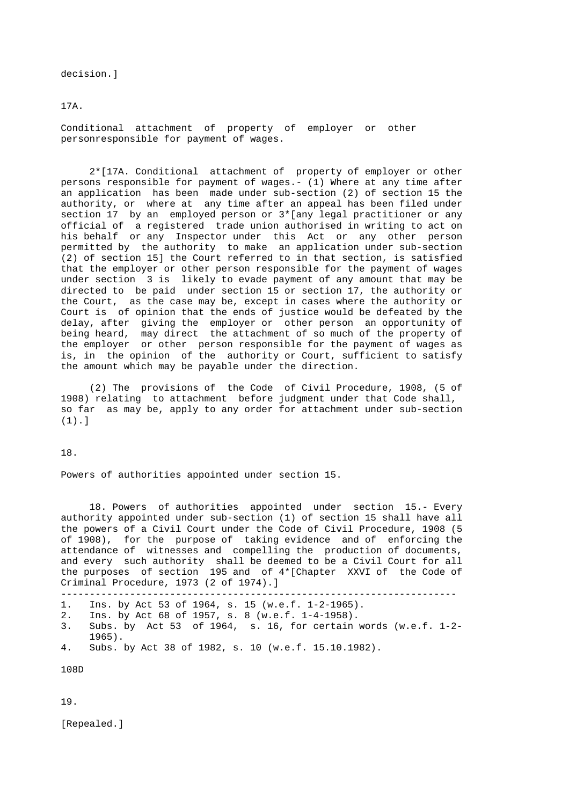decision.]

17A.

 Conditional attachment of property of employer or other personresponsible for payment of wages.

 2\*[17A. Conditional attachment of property of employer or other persons responsible for payment of wages.- (1) Where at any time after an application has been made under sub-section (2) of section 15 the authority, or where at any time after an appeal has been filed under section 17 by an employed person or 3\*[any legal practitioner or any official of a registered trade union authorised in writing to act on his behalf or any Inspector under this Act or any other person permitted by the authority to make an application under sub-section (2) of section 15] the Court referred to in that section, is satisfied that the employer or other person responsible for the payment of wages under section 3 is likely to evade payment of any amount that may be directed to be paid under section 15 or section 17, the authority or the Court, as the case may be, except in cases where the authority or Court is of opinion that the ends of justice would be defeated by the delay, after giving the employer or other person an opportunity of being heard, may direct the attachment of so much of the property of the employer or other person responsible for the payment of wages as is, in the opinion of the authority or Court, sufficient to satisfy the amount which may be payable under the direction.

 (2) The provisions of the Code of Civil Procedure, 1908, (5 of 1908) relating to attachment before judgment under that Code shall, so far as may be, apply to any order for attachment under sub-section (1).]

18.

Powers of authorities appointed under section 15.

 18. Powers of authorities appointed under section 15.- Every authority appointed under sub-section (1) of section 15 shall have all the powers of a Civil Court under the Code of Civil Procedure, 1908 (5 of 1908), for the purpose of taking evidence and of enforcing the attendance of witnesses and compelling the production of documents, and every such authority shall be deemed to be a Civil Court for all the purposes of section 195 and of 4\*[Chapter XXVI of the Code of Criminal Procedure, 1973 (2 of 1974).]

---------------------------------------------------------------------

- 1. Ins. by Act 53 of 1964, s. 15 (w.e.f. 1-2-1965).
- 2. Ins. by Act 68 of 1957, s. 8 (w.e.f. 1-4-1958). 3. Subs. by Act 53 of 1964, s. 16, for certain words (w.e.f. 1-2- 1965).
- 4. Subs. by Act 38 of 1982, s. 10 (w.e.f. 15.10.1982).

108D

19.

[Repealed.]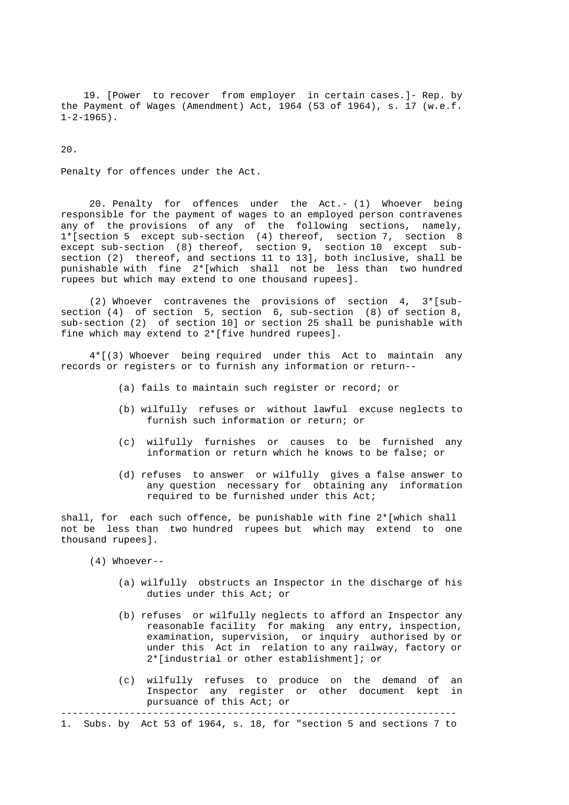19. [Power to recover from employer in certain cases.]- Rep. by the Payment of Wages (Amendment) Act, 1964 (53 of 1964), s. 17 (w.e.f.  $1-2-1965$ ).

20.

Penalty for offences under the Act.

 20. Penalty for offences under the Act.- (1) Whoever being responsible for the payment of wages to an employed person contravenes any of the provisions of any of the following sections, namely, 1\*[section 5 except sub-section (4) thereof, section 7, section 8 except sub-section (8) thereof, section 9, section 10 except sub section (2) thereof, and sections 11 to 13], both inclusive, shall be punishable with fine 2\*[which shall not be less than two hundred rupees but which may extend to one thousand rupees].

(2) Whoever contravenes the provisions of section  $4, 3*(sub$  section (4) of section 5, section 6, sub-section (8) of section 8, sub-section (2) of section 10] or section 25 shall be punishable with fine which may extend to 2\*[five hundred rupees].

 4\*[(3) Whoever being required under this Act to maintain any records or registers or to furnish any information or return--

- (a) fails to maintain such register or record; or
- (b) wilfully refuses or without lawful excuse neglects to furnish such information or return; or
- (c) wilfully furnishes or causes to be furnished any information or return which he knows to be false; or
- (d) refuses to answer or wilfully gives a false answer to any question necessary for obtaining any information required to be furnished under this Act;

shall, for each such offence, be punishable with fine  $2*($  which shall not be less than two hundred rupees but which may extend to one thousand rupees].

- (4) Whoever--
	- (a) wilfully obstructs an Inspector in the discharge of his duties under this Act; or
	- (b) refuses or wilfully neglects to afford an Inspector any reasonable facility for making any entry, inspection, examination, supervision, or inquiry authorised by or under this Act in relation to any railway, factory or 2\*[industrial or other establishment]; or
	- (c) wilfully refuses to produce on the demand of an Inspector any register or other document kept in pursuance of this Act; or

---------------------------------------------------------------------

1. Subs. by Act 53 of 1964, s. 18, for "section 5 and sections 7 to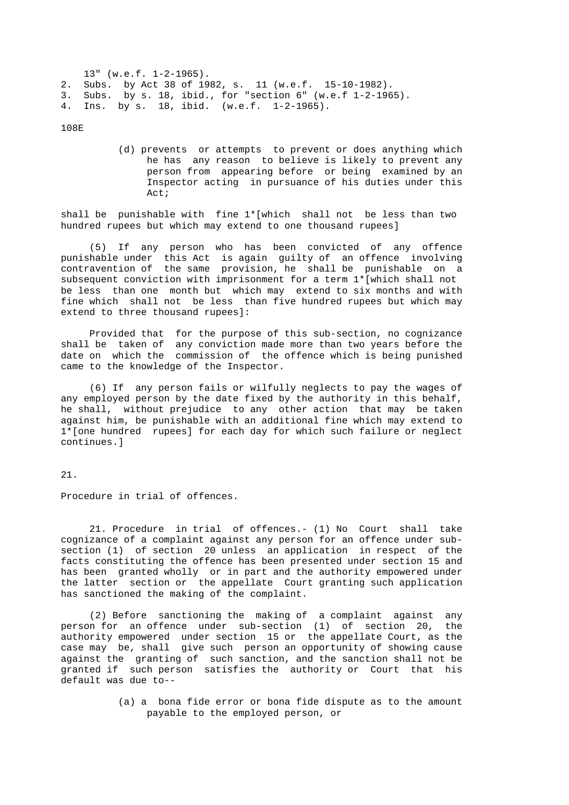13" (w.e.f. 1-2-1965). 2. Subs. by Act 38 of 1982, s. 11 (w.e.f. 15-10-1982). 3. Subs. by s. 18, ibid., for "section 6" (w.e.f 1-2-1965). 4. Ins. by s. 18, ibid. (w.e.f. 1-2-1965).

108E

 (d) prevents or attempts to prevent or does anything which he has any reason to believe is likely to prevent any person from appearing before or being examined by an Inspector acting in pursuance of his duties under this Act;

 shall be punishable with fine 1\*[which shall not be less than two hundred rupees but which may extend to one thousand rupees]

 (5) If any person who has been convicted of any offence punishable under this Act is again guilty of an offence involving contravention of the same provision, he shall be punishable on a subsequent conviction with imprisonment for a term 1\*[which shall not be less than one month but which may extend to six months and with fine which shall not be less than five hundred rupees but which may extend to three thousand rupees]:

 Provided that for the purpose of this sub-section, no cognizance shall be taken of any conviction made more than two years before the date on which the commission of the offence which is being punished came to the knowledge of the Inspector.

 (6) If any person fails or wilfully neglects to pay the wages of any employed person by the date fixed by the authority in this behalf, he shall, without prejudice to any other action that may be taken against him, be punishable with an additional fine which may extend to 1\*[one hundred rupees] for each day for which such failure or neglect continues.]

21.

Procedure in trial of offences.

 21. Procedure in trial of offences.- (1) No Court shall take cognizance of a complaint against any person for an offence under sub section (1) of section 20 unless an application in respect of the facts constituting the offence has been presented under section 15 and has been granted wholly or in part and the authority empowered under the latter section or the appellate Court granting such application has sanctioned the making of the complaint.

 (2) Before sanctioning the making of a complaint against any person for an offence under sub-section (1) of section 20, the authority empowered under section 15 or the appellate Court, as the case may be, shall give such person an opportunity of showing cause against the granting of such sanction, and the sanction shall not be granted if such person satisfies the authority or Court that his default was due to--

> (a) a bona fide error or bona fide dispute as to the amount payable to the employed person, or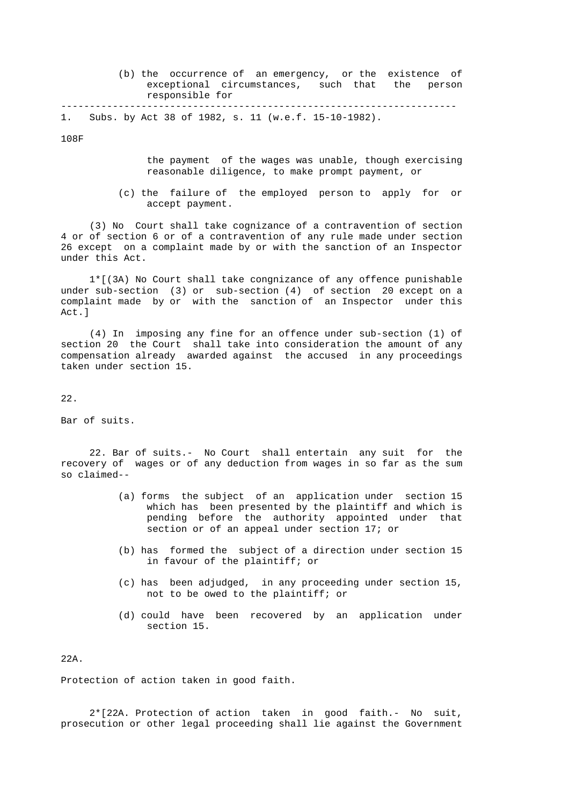| (b) the occurrence of an emergency, or the existence of |  |  |  |
|---------------------------------------------------------|--|--|--|
| exceptional circumstances, such that the person         |  |  |  |
| responsible for                                         |  |  |  |
|                                                         |  |  |  |

1. Subs. by Act 38 of 1982, s. 11 (w.e.f. 15-10-1982).

108F

- the payment of the wages was unable, though exercising reasonable diligence, to make prompt payment, or
- (c) the failure of the employed person to apply for or accept payment.

 (3) No Court shall take cognizance of a contravention of section 4 or of section 6 or of a contravention of any rule made under section 26 except on a complaint made by or with the sanction of an Inspector under this Act.

 1\*[(3A) No Court shall take congnizance of any offence punishable under sub-section (3) or sub-section (4) of section 20 except on a complaint made by or with the sanction of an Inspector under this Act.]

 (4) In imposing any fine for an offence under sub-section (1) of section 20 the Court shall take into consideration the amount of any compensation already awarded against the accused in any proceedings taken under section 15.

22.

Bar of suits.

 22. Bar of suits.- No Court shall entertain any suit for the recovery of wages or of any deduction from wages in so far as the sum so claimed--

- (a) forms the subject of an application under section 15 which has been presented by the plaintiff and which is pending before the authority appointed under that section or of an appeal under section 17; or
- (b) has formed the subject of a direction under section 15 in favour of the plaintiff; or
- (c) has been adjudged, in any proceeding under section 15, not to be owed to the plaintiff; or
- (d) could have been recovered by an application under section 15.

 $22<sub>n</sub>$ 

Protection of action taken in good faith.

 2\*[22A. Protection of action taken in good faith.- No suit, prosecution or other legal proceeding shall lie against the Government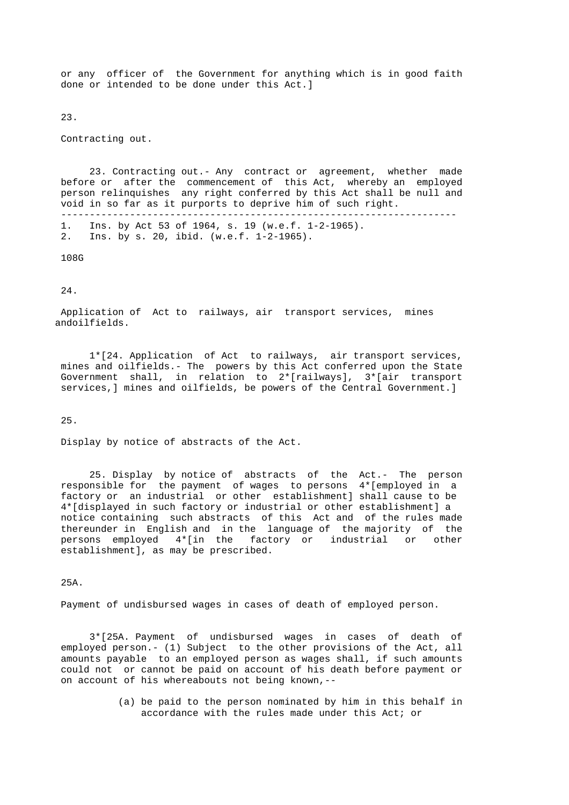or any officer of the Government for anything which is in good faith done or intended to be done under this Act.]

23.

Contracting out.

 23. Contracting out.- Any contract or agreement, whether made before or after the commencement of this Act, whereby an employed person relinquishes any right conferred by this Act shall be null and void in so far as it purports to deprive him of such right. ---------------------------------------------------------------------

 1. Ins. by Act 53 of 1964, s. 19 (w.e.f. 1-2-1965). 2. Ins. by s. 20, ibid. (w.e.f. 1-2-1965).

108G

24.

 Application of Act to railways, air transport services, mines andoilfields.

 1\*[24. Application of Act to railways, air transport services, mines and oilfields.- The powers by this Act conferred upon the State Government shall, in relation to 2\*[railways], 3\*[air transport services,] mines and oilfields, be powers of the Central Government.]

25.

Display by notice of abstracts of the Act.

 25. Display by notice of abstracts of the Act.- The person responsible for the payment of wages to persons 4\*[employed in a factory or an industrial or other establishment] shall cause to be 4\*[displayed in such factory or industrial or other establishment] a notice containing such abstracts of this Act and of the rules made thereunder in English and in the language of the majority of the persons employed 4\*[in the factory or industrial or other establishment], as may be prescribed.

25A.

Payment of undisbursed wages in cases of death of employed person.

 3\*[25A. Payment of undisbursed wages in cases of death of employed person.- (1) Subject to the other provisions of the Act, all amounts payable to an employed person as wages shall, if such amounts could not or cannot be paid on account of his death before payment or on account of his whereabouts not being known,--

> (a) be paid to the person nominated by him in this behalf in accordance with the rules made under this Act; or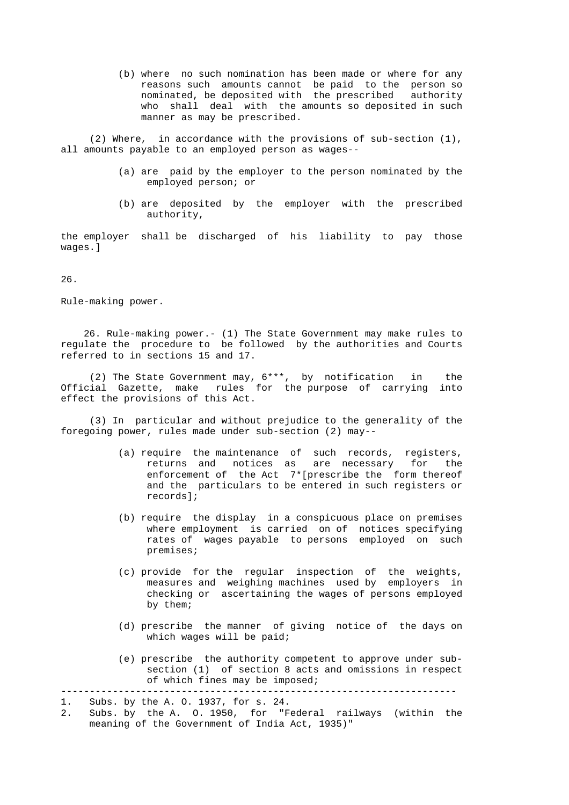(b) where no such nomination has been made or where for any reasons such amounts cannot be paid to the person so nominated, be deposited with the prescribed authority who shall deal with the amounts so deposited in such manner as may be prescribed.

 (2) Where, in accordance with the provisions of sub-section (1), all amounts payable to an employed person as wages--

- (a) are paid by the employer to the person nominated by the employed person; or
- (b) are deposited by the employer with the prescribed authority,

 the employer shall be discharged of his liability to pay those wages.]

26.

Rule-making power.

 26. Rule-making power.- (1) The State Government may make rules to regulate the procedure to be followed by the authorities and Courts referred to in sections 15 and 17.

 (2) The State Government may, 6\*\*\*, by notification in the Official Gazette, make rules for the purpose of carrying into effect the provisions of this Act.

 (3) In particular and without prejudice to the generality of the foregoing power, rules made under sub-section (2) may--

- (a) require the maintenance of such records, registers, returns and notices as are necessary for the enforcement of the Act 7\*[prescribe the form thereof and the particulars to be entered in such registers or records];
- (b) require the display in a conspicuous place on premises where employment is carried on of notices specifying rates of wages payable to persons employed on such premises;
- (c) provide for the regular inspection of the weights, measures and weighing machines used by employers in checking or ascertaining the wages of persons employed by them;
- (d) prescribe the manner of giving notice of the days on which wages will be paid;
- (e) prescribe the authority competent to approve under sub section (1) of section 8 acts and omissions in respect of which fines may be imposed;

---------------------------------------------------------------------

 2. Subs. by the A. O. 1950, for "Federal railways (within the meaning of the Government of India Act, 1935)"

 <sup>1.</sup> Subs. by the A. O. 1937, for s. 24.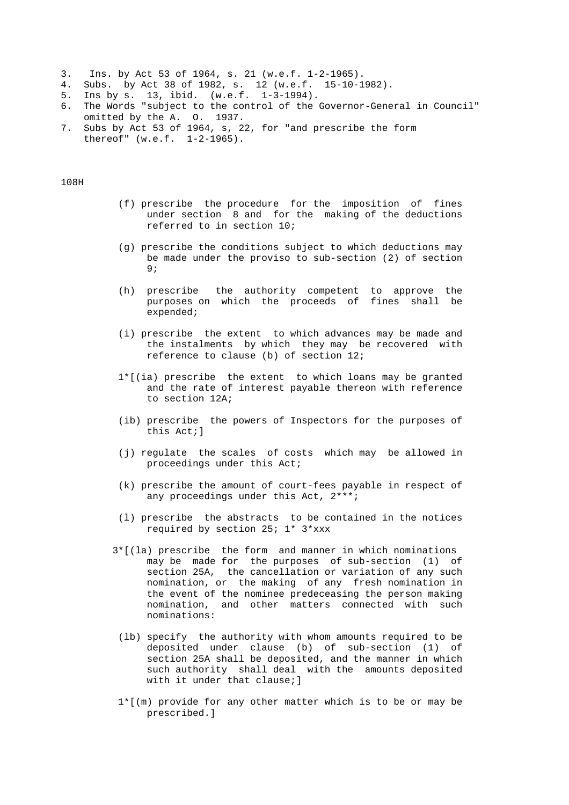- 3. Ins. by Act 53 of 1964, s. 21 (w.e.f. 1-2-1965).
- 4. Subs. by Act 38 of 1982, s. 12 (w.e.f. 15-10-1982).
- 5. Ins by s. 13, ibid. (w.e.f. 1-3-1994).
- 6. The Words "subject to the control of the Governor-General in Council" omitted by the A. O. 1937.
- 7. Subs by Act 53 of 1964, s, 22, for "and prescribe the form thereof" (w.e.f. 1-2-1965).

108H

- (f) prescribe the procedure for the imposition of fines under section 8 and for the making of the deductions referred to in section 10;
- (g) prescribe the conditions subject to which deductions may be made under the proviso to sub-section (2) of section 9;
	- (h) prescribe the authority competent to approve the purposes on which the proceeds of fines shall be expended;
	- (i) prescribe the extent to which advances may be made and the instalments by which they may be recovered with reference to clause (b) of section 12;
	- 1\*[(ia) prescribe the extent to which loans may be granted and the rate of interest payable thereon with reference to section 12A;
	- (ib) prescribe the powers of Inspectors for the purposes of this Act;]
	- (j) regulate the scales of costs which may be allowed in proceedings under this Act;
	- (k) prescribe the amount of court-fees payable in respect of any proceedings under this Act, 2\*\*\*;
	- (l) prescribe the abstracts to be contained in the notices required by section 25; 1\* 3\*xxx
	- 3\*[(la) prescribe the form and manner in which nominations may be made for the purposes of sub-section (1) of section 25A, the cancellation or variation of any such nomination, or the making of any fresh nomination in the event of the nominee predeceasing the person making nomination, and other matters connected with such nominations:
	- (lb) specify the authority with whom amounts required to be deposited under clause (b) of sub-section (1) of section 25A shall be deposited, and the manner in which such authority shall deal with the amounts deposited with it under that clause; ]
	- 1\*[(m) provide for any other matter which is to be or may be prescribed.]